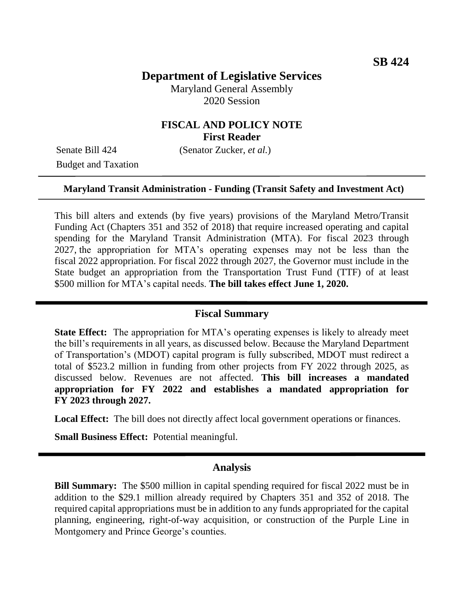# **Department of Legislative Services**

Maryland General Assembly 2020 Session

# **FISCAL AND POLICY NOTE First Reader**

Budget and Taxation

Senate Bill 424 (Senator Zucker, *et al.*)

#### **Maryland Transit Administration - Funding (Transit Safety and Investment Act)**

This bill alters and extends (by five years) provisions of the Maryland Metro/Transit Funding Act (Chapters 351 and 352 of 2018) that require increased operating and capital spending for the Maryland Transit Administration (MTA). For fiscal 2023 through 2027, the appropriation for MTA's operating expenses may not be less than the fiscal 2022 appropriation. For fiscal 2022 through 2027, the Governor must include in the State budget an appropriation from the Transportation Trust Fund (TTF) of at least \$500 million for MTA's capital needs. **The bill takes effect June 1, 2020.**

#### **Fiscal Summary**

**State Effect:** The appropriation for MTA's operating expenses is likely to already meet the bill's requirements in all years, as discussed below. Because the Maryland Department of Transportation's (MDOT) capital program is fully subscribed, MDOT must redirect a total of \$523.2 million in funding from other projects from FY 2022 through 2025, as discussed below. Revenues are not affected. **This bill increases a mandated appropriation for FY 2022 and establishes a mandated appropriation for FY 2023 through 2027.**

**Local Effect:** The bill does not directly affect local government operations or finances.

**Small Business Effect:** Potential meaningful.

#### **Analysis**

**Bill Summary:** The \$500 million in capital spending required for fiscal 2022 must be in addition to the \$29.1 million already required by Chapters 351 and 352 of 2018. The required capital appropriations must be in addition to any funds appropriated for the capital planning, engineering, right-of-way acquisition, or construction of the Purple Line in Montgomery and Prince George's counties.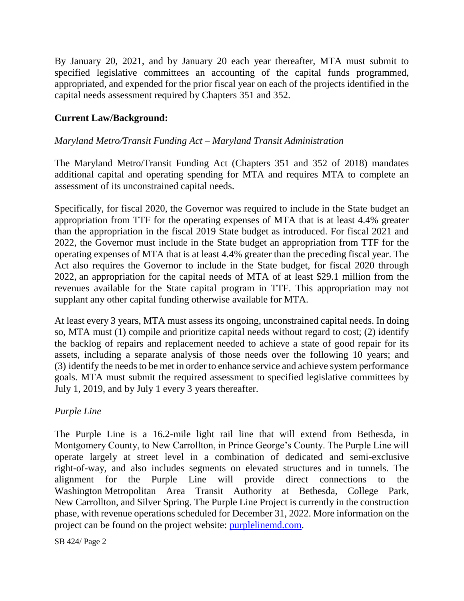By January 20, 2021, and by January 20 each year thereafter, MTA must submit to specified legislative committees an accounting of the capital funds programmed, appropriated, and expended for the prior fiscal year on each of the projects identified in the capital needs assessment required by Chapters 351 and 352.

# **Current Law/Background:**

### *Maryland Metro/Transit Funding Act – Maryland Transit Administration*

The Maryland Metro/Transit Funding Act (Chapters 351 and 352 of 2018) mandates additional capital and operating spending for MTA and requires MTA to complete an assessment of its unconstrained capital needs.

Specifically, for fiscal 2020, the Governor was required to include in the State budget an appropriation from TTF for the operating expenses of MTA that is at least 4.4% greater than the appropriation in the fiscal 2019 State budget as introduced. For fiscal 2021 and 2022, the Governor must include in the State budget an appropriation from TTF for the operating expenses of MTA that is at least 4.4% greater than the preceding fiscal year. The Act also requires the Governor to include in the State budget, for fiscal 2020 through 2022, an appropriation for the capital needs of MTA of at least \$29.1 million from the revenues available for the State capital program in TTF. This appropriation may not supplant any other capital funding otherwise available for MTA.

At least every 3 years, MTA must assess its ongoing, unconstrained capital needs. In doing so, MTA must (1) compile and prioritize capital needs without regard to cost; (2) identify the backlog of repairs and replacement needed to achieve a state of good repair for its assets, including a separate analysis of those needs over the following 10 years; and (3) identify the needs to be met in order to enhance service and achieve system performance goals. MTA must submit the required assessment to specified legislative committees by July 1, 2019, and by July 1 every 3 years thereafter.

### *Purple Line*

The Purple Line is a 16.2-mile light rail line that will extend from Bethesda, in Montgomery County, to New Carrollton, in Prince George's County. The Purple Line will operate largely at street level in a combination of dedicated and semi-exclusive right-of-way, and also includes segments on elevated structures and in tunnels. The alignment for the Purple Line will provide direct connections to the Washington Metropolitan Area Transit Authority at Bethesda, College Park, New Carrollton, and Silver Spring. The Purple Line Project is currently in the construction phase, with revenue operations scheduled for December 31, 2022. More information on the project can be found on the project website: [purplelinemd.com.](https://www.purplelinemd.com/construction/about-construction)

SB 424/ Page 2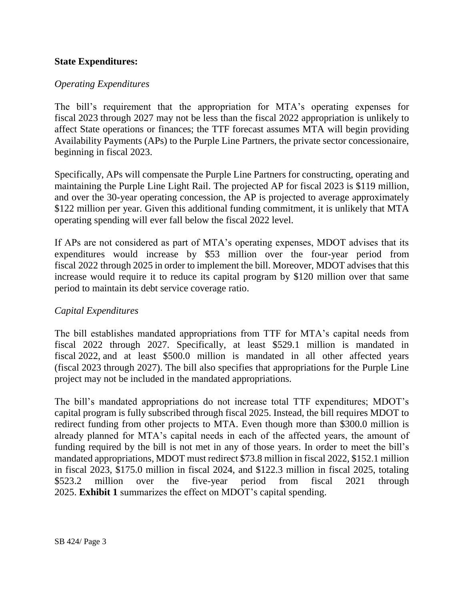### **State Expenditures:**

#### *Operating Expenditures*

The bill's requirement that the appropriation for MTA's operating expenses for fiscal 2023 through 2027 may not be less than the fiscal 2022 appropriation is unlikely to affect State operations or finances; the TTF forecast assumes MTA will begin providing Availability Payments (APs) to the Purple Line Partners, the private sector concessionaire, beginning in fiscal 2023.

Specifically, APs will compensate the Purple Line Partners for constructing, operating and maintaining the Purple Line Light Rail. The projected AP for fiscal 2023 is \$119 million, and over the 30-year operating concession, the AP is projected to average approximately \$122 million per year. Given this additional funding commitment, it is unlikely that MTA operating spending will ever fall below the fiscal 2022 level.

If APs are not considered as part of MTA's operating expenses, MDOT advises that its expenditures would increase by \$53 million over the four-year period from fiscal 2022 through 2025 in order to implement the bill. Moreover, MDOT advises that this increase would require it to reduce its capital program by \$120 million over that same period to maintain its debt service coverage ratio.

#### *Capital Expenditures*

The bill establishes mandated appropriations from TTF for MTA's capital needs from fiscal 2022 through 2027. Specifically, at least \$529.1 million is mandated in fiscal 2022, and at least \$500.0 million is mandated in all other affected years (fiscal 2023 through 2027). The bill also specifies that appropriations for the Purple Line project may not be included in the mandated appropriations.

The bill's mandated appropriations do not increase total TTF expenditures; MDOT's capital program is fully subscribed through fiscal 2025. Instead, the bill requires MDOT to redirect funding from other projects to MTA. Even though more than \$300.0 million is already planned for MTA's capital needs in each of the affected years, the amount of funding required by the bill is not met in any of those years. In order to meet the bill's mandated appropriations, MDOT must redirect \$73.8 million in fiscal 2022, \$152.1 million in fiscal 2023, \$175.0 million in fiscal 2024, and \$122.3 million in fiscal 2025, totaling \$523.2 million over the five-year period from fiscal 2021 through 2025. **Exhibit 1** summarizes the effect on MDOT's capital spending.